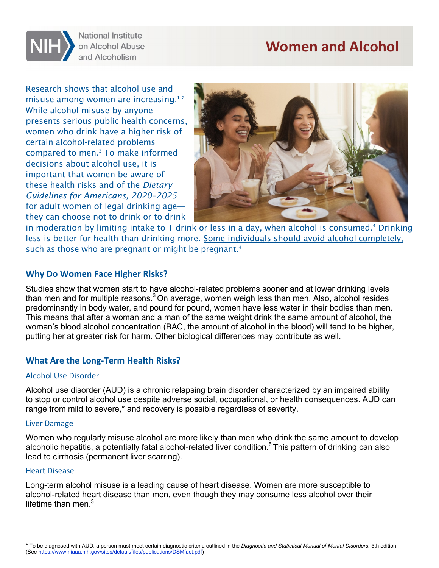# **Women and Alcohol**



**National Institute** on Alcohol Abuse and Alcoholism

 women who drink have a higher risk of these health risks and of the *Dietary*  Research shows that alcohol use and misuse among women are increasing.<sup>1-2</sup> While alcohol misuse by anyone presents serious public health concerns, certain alcohol-related problems compared to men.3 To make informed decisions about alcohol use, it is important that women be aware of *Guidelines for Americans, 2020–2025*  for adult women of legal drinking age they can choose not to drink or to drink



such as those who are pregnant or might be pregnant.<sup>4</sup> in moderation by limiting intake to 1 drink or less in a day, when alcohol is consumed.<sup>4</sup> Drinking [less is better for health than drinking more. Some individuals should avoid alcohol completely,](https://www.rethinkingdrinking.niaaa.nih.gov/How-much-is-too-much/Is-your-drinking-pattern-risky/Drinking-Levels.aspx) 

## **Why Do Women Face Higher Risks?**

Studies show that women start to have alcohol-related problems sooner and at lower drinking levels than men and for multiple reasons. $3$  On average, women weigh less than men. Also, alcohol resides predominantly in body water, and pound for pound, women have less water in their bodies than men. This means that after a woman and a man of the same weight drink the same amount of alcohol, the woman's blood alcohol concentration (BAC, the amount of alcohol in the blood) will tend to be higher, putting her at greater risk for harm. Other biological differences may contribute as well.

## **What Are the Long-Term Health Risks?**

#### Alcohol Use Disorder

Alcohol use disorder (AUD) is a chronic relapsing brain disorder characterized by an impaired ability to stop or control alcohol use despite adverse social, occupational, or health consequences. AUD can range from mild to severe,\* and recovery is possible regardless of severity.

#### Liver Damage

Women who regularly misuse alcohol are more likely than men who drink the same amount to develop alcoholic hepatitis, a potentially fatal alcohol-related liver condition.<sup>5</sup> This pattern of drinking can also lead to cirrhosis (permanent liver scarring).

#### Heart Disease

lifetime than men. $^3$ Long-term alcohol misuse is a leading cause of heart disease. Women are more susceptible to alcohol-related heart disease than men, even though they may consume less alcohol over their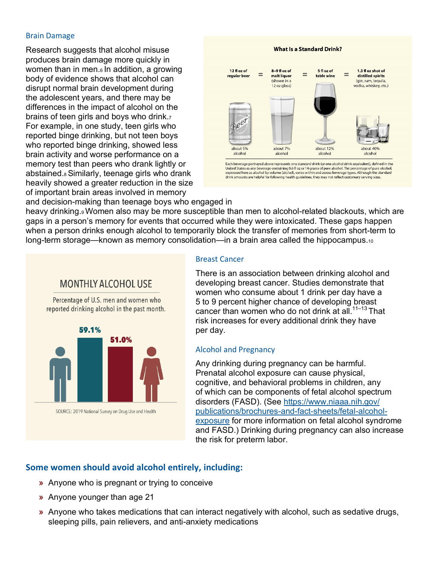#### Brain Damage

Research suggests that alcohol misuse produces brain damage more quickly in women than in men.<sup>6</sup> In addition, a growing body of evidence shows that alcohol can disrupt normal brain development during the adolescent years, and there may be differences in the impact of alcohol on the brains of teen girls and boys who drink.7 For example, in one study, teen girls who reported binge drinking, but not teen boys who reported binge drinking, showed less brain activity and worse performance on a memory test than peers who drank lightly or abstained.8 Similarly, teenage girls who drank heavily showed a greater reduction in the size of important brain areas involved in memory



and decision-making than teenage boys who engaged in heavy drinking.<sup>9</sup> Women also may be more susceptible than men to alcohol-related blackouts, which are gaps in a person's memory for events that occurred while they were intoxicated. These gaps happen when a person drinks enough alcohol to temporarily block the transfer of memories from short-term to long-term storage—known as memory consolidation—in a brain area called the hippocampus.10



#### Breast Cancer

There is an association between drinking alcohol and developing breast cancer. Studies demonstrate that women who consume about 1 drink per day have a 5 to 9 percent higher chance of developing breast cancer than women who do not drink at all.<sup>11–13</sup> That risk increases for every additional drink they have per day.

#### Alcohol and Pregnancy

Any drinking during pregnancy can be harmful. Prenatal alcohol exposure can cause physical, cognitive, and behavioral problems in children, any of which can be components of fetal alcohol spectrum disorders (FASD). (See https://www.niaaa.nih.gov/ publications/brochures-and-fact-sheets/fetal-alcohol[exposure for more information on fetal alcohol syndrome](https://www.niaaa.nih.gov/publications/brochures-and-fact-sheets/fetal-alcohol-exposure)  and FASD.) Drinking during pregnancy can also increase the risk for preterm labor.

## **Some women should avoid alcohol entirely, including:**

- **»** Anyone who is pregnant or trying to conceive<br>**»** Anyone younger than age 21
- **»** Anyone younger than age 21
- sleeping pills, pain relievers, and anti-anxiety medications **»**  Anyone who takes medications that can interact negatively with alcohol, such as sedative drugs,